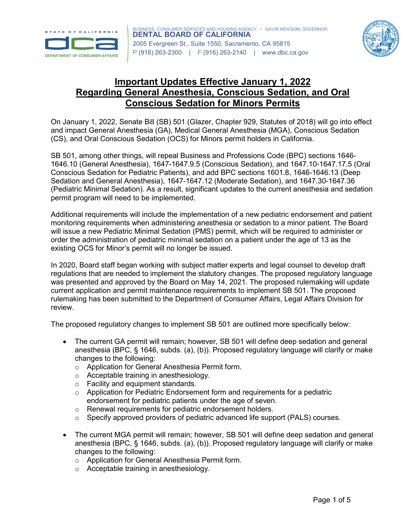



## **Important Updates Effective January 1, 2022 Regarding General Anesthesia, Conscious Sedation, and Oral Conscious Sedation for Minors Permits**

On January 1, 2022, Senate Bill (SB) 501 (Glazer, Chapter 929, Statutes of 2018) will go into effect and impact General Anesthesia (GA), Medical General Anesthesia (MGA), Conscious Sedation (CS), and Oral Conscious Sedation (OCS) for Minors permit holders in California.

SB 501, among other things, will repeal Business and Professions Code (BPC) sections 1646- 1646.10 (General Anesthesia), 1647-1647.9.5 (Conscious Sedation), and 1647.10-1647.17.5 (Oral Conscious Sedation for Pediatric Patients), and add BPC sections 1601.8, 1646-1646.13 (Deep Sedation and General Anesthesia), 1647-1647.12 (Moderate Sedation), and 1647.30-1647.36 (Pediatric Minimal Sedation). As a result, significant updates to the current anesthesia and sedation permit program will need to be implemented.

Additional requirements will include the implementation of a new pediatric endorsement and patient monitoring requirements when administering anesthesia or sedation to a minor patient. The Board will issue a new Pediatric Minimal Sedation (PMS) permit, which will be required to administer or order the administration of pediatric minimal sedation on a patient under the age of 13 as the existing OCS for Minor's permit will no longer be issued.

In 2020, Board staff began working with subject matter experts and legal counsel to develop draft regulations that are needed to implement the statutory changes. The proposed regulatory language was presented and approved by the Board on May 14, 2021. The proposed rulemaking will update current application and permit maintenance requirements to implement SB 501. The proposed rulemaking has been submitted to the Department of Consumer Affairs, Legal Affairs Division for review.

The proposed regulatory changes to implement SB 501 are outlined more specifically below:

- The current GA permit will remain; however, SB 501 will define deep sedation and general anesthesia (BPC, § 1646, subds. (a), (b)). Proposed regulatory language will clarify or make changes to the following:
	- o Application for General Anesthesia Permit form.
	- o Acceptable training in anesthesiology.
	- o Facility and equipment standards.
	- $\circ$  Application for Pediatric Endorsement form and requirements for a pediatric endorsement for pediatric patients under the age of seven.
	- o Renewal requirements for pediatric endorsement holders.
	- o Specify approved providers of pediatric advanced life support (PALS) courses.
- The current MGA permit will remain; however, SB 501 will define deep sedation and general anesthesia (BPC, § 1646, subds. (a), (b)). Proposed regulatory language will clarify or make changes to the following:
	- o Application for General Anesthesia Permit form.
	- o Acceptable training in anesthesiology.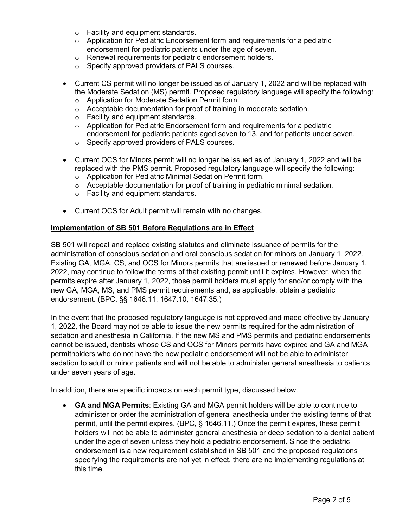- o Facility and equipment standards.
- $\circ$  Application for Pediatric Endorsement form and requirements for a pediatric endorsement for pediatric patients under the age of seven.
- o Renewal requirements for pediatric endorsement holders.
- o Specify approved providers of PALS courses.
- Current CS permit will no longer be issued as of January 1, 2022 and will be replaced with the Moderate Sedation (MS) permit. Proposed regulatory language will specify the following:
	- o Application for Moderate Sedation Permit form.
	- o Acceptable documentation for proof of training in moderate sedation.
	- o Facility and equipment standards.
	- $\circ$  Application for Pediatric Endorsement form and requirements for a pediatric endorsement for pediatric patients aged seven to 13, and for patients under seven.
	- o Specify approved providers of PALS courses.
- Current OCS for Minors permit will no longer be issued as of January 1, 2022 and will be replaced with the PMS permit. Proposed regulatory language will specify the following:
	- o Application for Pediatric Minimal Sedation Permit form.
	- $\circ$  Acceptable documentation for proof of training in pediatric minimal sedation.
	- o Facility and equipment standards.
- Current OCS for Adult permit will remain with no changes.

## **Implementation of SB 501 Before Regulations are in Effect**

SB 501 will repeal and replace existing statutes and eliminate issuance of permits for the administration of conscious sedation and oral conscious sedation for minors on January 1, 2022. Existing GA, MGA, CS, and OCS for Minors permits that are issued or renewed before January 1, 2022, may continue to follow the terms of that existing permit until it expires. However, when the permits expire after January 1, 2022, those permit holders must apply for and/or comply with the new GA, MGA, MS, and PMS permit requirements and, as applicable, obtain a pediatric endorsement. (BPC, §§ 1646.11, 1647.10, 1647.35.)

In the event that the proposed regulatory language is not approved and made effective by January 1, 2022, the Board may not be able to issue the new permits required for the administration of sedation and anesthesia in California. If the new MS and PMS permits and pediatric endorsements cannot be issued, dentists whose CS and OCS for Minors permits have expired and GA and MGA permitholders who do not have the new pediatric endorsement will not be able to administer sedation to adult or minor patients and will not be able to administer general anesthesia to patients under seven years of age.

In addition, there are specific impacts on each permit type, discussed below.

• **GA and MGA Permits**: Existing GA and MGA permit holders will be able to continue to administer or order the administration of general anesthesia under the existing terms of that permit, until the permit expires. (BPC, § 1646.11.) Once the permit expires, these permit holders will not be able to administer general anesthesia or deep sedation to a dental patient under the age of seven unless they hold a pediatric endorsement. Since the pediatric endorsement is a new requirement established in SB 501 and the proposed regulations specifying the requirements are not yet in effect, there are no implementing regulations at this time.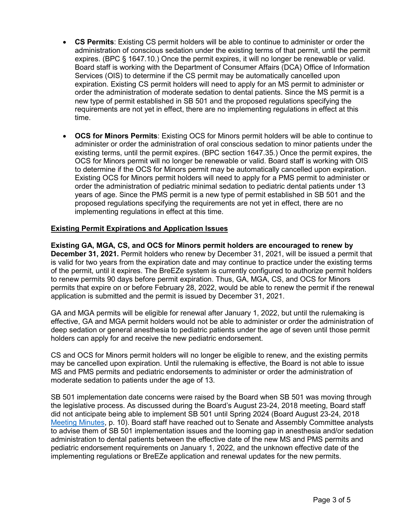- **CS Permits**: Existing CS permit holders will be able to continue to administer or order the administration of conscious sedation under the existing terms of that permit, until the permit expires. (BPC § 1647.10.) Once the permit expires, it will no longer be renewable or valid. Board staff is working with the Department of Consumer Affairs (DCA) Office of Information Services (OIS) to determine if the CS permit may be automatically cancelled upon expiration. Existing CS permit holders will need to apply for an MS permit to administer or order the administration of moderate sedation to dental patients. Since the MS permit is a new type of permit established in SB 501 and the proposed regulations specifying the requirements are not yet in effect, there are no implementing regulations in effect at this time.
- **OCS for Minors Permits**: Existing OCS for Minors permit holders will be able to continue to administer or order the administration of oral conscious sedation to minor patients under the existing terms, until the permit expires. (BPC section 1647.35.) Once the permit expires, the OCS for Minors permit will no longer be renewable or valid. Board staff is working with OIS to determine if the OCS for Minors permit may be automatically cancelled upon expiration. Existing OCS for Minors permit holders will need to apply for a PMS permit to administer or order the administration of pediatric minimal sedation to pediatric dental patients under 13 years of age. Since the PMS permit is a new type of permit established in SB 501 and the proposed regulations specifying the requirements are not yet in effect, there are no implementing regulations in effect at this time.

## **Existing Permit Expirations and Application Issues**

**Existing GA, MGA, CS, and OCS for Minors permit holders are encouraged to renew by December 31, 2021.** Permit holders who renew by December 31, 2021, will be issued a permit that is valid for two years from the expiration date and may continue to practice under the existing terms of the permit, until it expires. The BreEZe system is currently configured to authorize permit holders to renew permits 90 days before permit expiration. Thus, GA, MGA, CS, and OCS for Minors permits that expire on or before February 28, 2022, would be able to renew the permit if the renewal application is submitted and the permit is issued by December 31, 2021.

GA and MGA permits will be eligible for renewal after January 1, 2022, but until the rulemaking is effective, GA and MGA permit holders would not be able to administer or order the administration of deep sedation or general anesthesia to pediatric patients under the age of seven until those permit holders can apply for and receive the new pediatric endorsement.

CS and OCS for Minors permit holders will no longer be eligible to renew, and the existing permits may be cancelled upon expiration. Until the rulemaking is effective, the Board is not able to issue MS and PMS permits and pediatric endorsements to administer or order the administration of moderate sedation to patients under the age of 13.

SB 501 implementation date concerns were raised by the Board when SB 501 was moving through the legislative process. As discussed during the Board's August 23-24, 2018 meeting, Board staff did not anticipate being able to implement SB 501 until Spring 2024 (Board August 23-24, 2018 [Meeting Minutes,](https://www.dbc.ca.gov/about_us/meetings/minutes/20180823_24.pdf) p. 10). Board staff have reached out to Senate and Assembly Committee analysts to advise them of SB 501 implementation issues and the looming gap in anesthesia and/or sedation administration to dental patients between the effective date of the new MS and PMS permits and pediatric endorsement requirements on January 1, 2022, and the unknown effective date of the implementing regulations or BreEZe application and renewal updates for the new permits.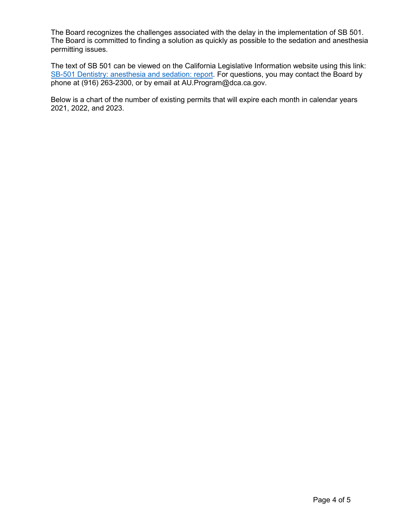The Board recognizes the challenges associated with the delay in the implementation of SB 501. The Board is committed to finding a solution as quickly as possible to the sedation and anesthesia permitting issues.

The text of SB 501 can be viewed on the California Legislative Information website using this link: [SB-501 Dentistry: anesthesia and](https://leginfo.legislature.ca.gov/faces/billNavClient.xhtml?bill_id=201720180SB501) sedation: report. For questions, you may contact the Board by phone at (916) 263-2300, or by email at AU.Program@dca.ca.gov.

Below is a chart of the number of existing permits that will expire each month in calendar years 2021, 2022, and 2023.